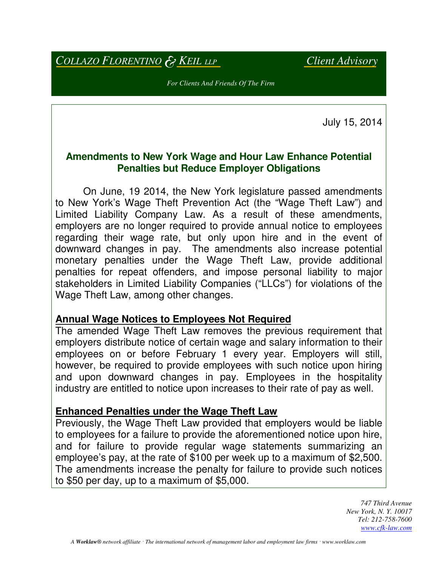*COLLAZO FLORENTINO* & *KEIL LLP Client Advisory*

*For Clients And Friends Of The Firm* 

July 15, 2014

## **Amendments to New York Wage and Hour Law Enhance Potential Penalties but Reduce Employer Obligations**

 On June, 19 2014, the New York legislature passed amendments to New York's Wage Theft Prevention Act (the "Wage Theft Law") and Limited Liability Company Law. As a result of these amendments, employers are no longer required to provide annual notice to employees regarding their wage rate, but only upon hire and in the event of downward changes in pay. The amendments also increase potential monetary penalties under the Wage Theft Law, provide additional penalties for repeat offenders, and impose personal liability to major stakeholders in Limited Liability Companies ("LLCs") for violations of the Wage Theft Law, among other changes.

## **Annual Wage Notices to Employees Not Required**

The amended Wage Theft Law removes the previous requirement that employers distribute notice of certain wage and salary information to their employees on or before February 1 every year. Employers will still, however, be required to provide employees with such notice upon hiring and upon downward changes in pay. Employees in the hospitality industry are entitled to notice upon increases to their rate of pay as well.

## **Enhanced Penalties under the Wage Theft Law**

Previously, the Wage Theft Law provided that employers would be liable to employees for a failure to provide the aforementioned notice upon hire, and for failure to provide regular wage statements summarizing an employee's pay, at the rate of \$100 per week up to a maximum of \$2,500. The amendments increase the penalty for failure to provide such notices to \$50 per day, up to a maximum of \$5,000.

> *747 Third Avenue New York, N. Y. 10017 Tel: 212-758-7600 www.cfk-law.com*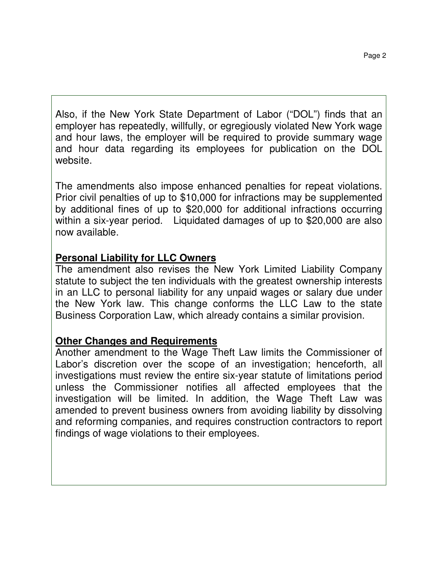Also, if the New York State Department of Labor ("DOL") finds that an employer has repeatedly, willfully, or egregiously violated New York wage and hour laws, the employer will be required to provide summary wage and hour data regarding its employees for publication on the DOL website.

The amendments also impose enhanced penalties for repeat violations. Prior civil penalties of up to \$10,000 for infractions may be supplemented by additional fines of up to \$20,000 for additional infractions occurring within a six-year period. Liquidated damages of up to \$20,000 are also now available.

## **Personal Liability for LLC Owners**

The amendment also revises the New York Limited Liability Company statute to subject the ten individuals with the greatest ownership interests in an LLC to personal liability for any unpaid wages or salary due under the New York law. This change conforms the LLC Law to the state Business Corporation Law, which already contains a similar provision.

# **Other Changes and Requirements**

Another amendment to the Wage Theft Law limits the Commissioner of Labor's discretion over the scope of an investigation; henceforth, all investigations must review the entire six-year statute of limitations period unless the Commissioner notifies all affected employees that the investigation will be limited. In addition, the Wage Theft Law was amended to prevent business owners from avoiding liability by dissolving and reforming companies, and requires construction contractors to report findings of wage violations to their employees.